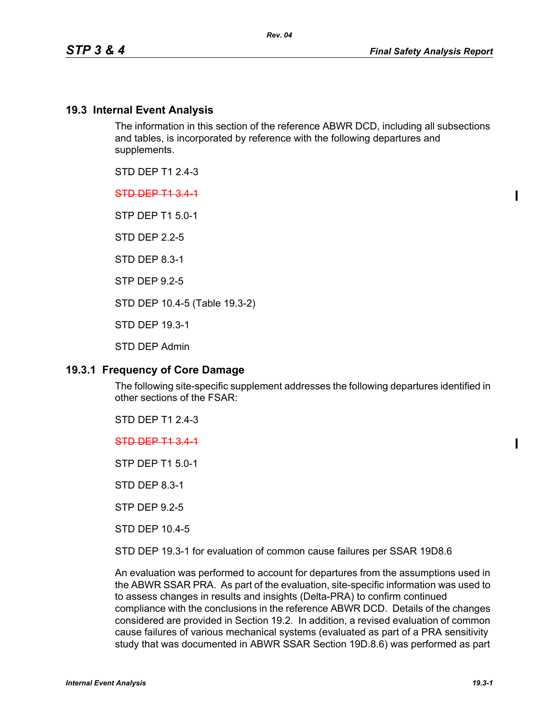### **19.3 Internal Event Analysis**

The information in this section of the reference ABWR DCD, including all subsections and tables, is incorporated by reference with the following departures and supplements.

STD DEP T1 2.4-3

STD DEP T1 3.4-1

STP DEP T1 5.0-1

STD DEP 2.2-5

STD DEP 8.3-1

STP DEP 9.2-5

STD DEP 10.4-5 (Table 19.3-2)

STD DEP 19.3-1

STD DEP Admin

### **19.3.1 Frequency of Core Damage**

The following site-specific supplement addresses the following departures identified in other sections of the FSAR:

STD DEP T1 2.4-3

STD DEP T1 3.4-1

STP DEP T1 5.0-1

STD DEP 8.3-1

STP DEP 9.2-5

STD DEP 10.4-5

STD DEP 19.3-1 for evaluation of common cause failures per SSAR 19D8.6

An evaluation was performed to account for departures from the assumptions used in the ABWR SSAR PRA. As part of the evaluation, site-specific information was used to to assess changes in results and insights (Delta-PRA) to confirm continued compliance with the conclusions in the reference ABWR DCD. Details of the changes considered are provided in Section 19.2. In addition, a revised evaluation of common cause failures of various mechanical systems (evaluated as part of a PRA sensitivity study that was documented in ABWR SSAR Section 19D.8.6) was performed as part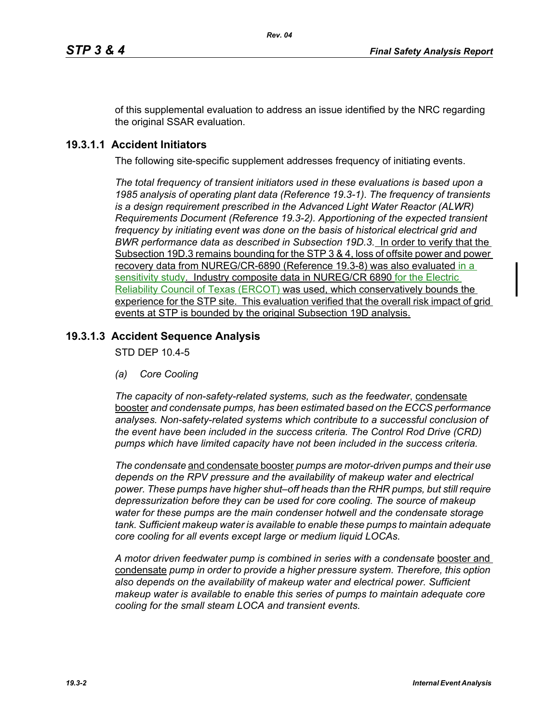of this supplemental evaluation to address an issue identified by the NRC regarding the original SSAR evaluation.

# **19.3.1.1 Accident Initiators**

The following site-specific supplement addresses frequency of initiating events.

*The total frequency of transient initiators used in these evaluations is based upon a 1985 analysis of operating plant data (Reference 19.3-1). The frequency of transients is a design requirement prescribed in the Advanced Light Water Reactor (ALWR) Requirements Document (Reference 19.3-2). Apportioning of the expected transient frequency by initiating event was done on the basis of historical electrical grid and BWR performance data as described in Subsection 19D.3.* In order to verify that the Subsection 19D.3 remains bounding for the STP 3 & 4, loss of offsite power and power recovery data from NUREG/CR-6890 (Reference 19.3-8) was also evaluated in a sensitivity study. Industry composite data in NUREG/CR 6890 for the Electric Reliability Council of Texas (ERCOT) was used, which conservatively bounds the experience for the STP site. This evaluation verified that the overall risk impact of grid events at STP is bounded by the original Subsection 19D analysis.

# **19.3.1.3 Accident Sequence Analysis**

STD DEP 10.4-5

*(a) Core Cooling*

The capacity of non-safety-related systems, such as the feedwater, condensate booster *and condensate pumps, has been estimated based on the ECCS performance analyses. Non-safety-related systems which contribute to a successful conclusion of the event have been included in the success criteria. The Control Rod Drive (CRD) pumps which have limited capacity have not been included in the success criteria.*

*The condensate* and condensate booster *pumps are motor-driven pumps and their use depends on the RPV pressure and the availability of makeup water and electrical power. These pumps have higher shut–off heads than the RHR pumps, but still require depressurization before they can be used for core cooling. The source of makeup water for these pumps are the main condenser hotwell and the condensate storage tank. Sufficient makeup water is available to enable these pumps to maintain adequate core cooling for all events except large or medium liquid LOCAs.*

A motor driven feedwater pump is combined in series with a condensate booster and condensate *pump in order to provide a higher pressure system. Therefore, this option also depends on the availability of makeup water and electrical power. Sufficient makeup water is available to enable this series of pumps to maintain adequate core cooling for the small steam LOCA and transient events.*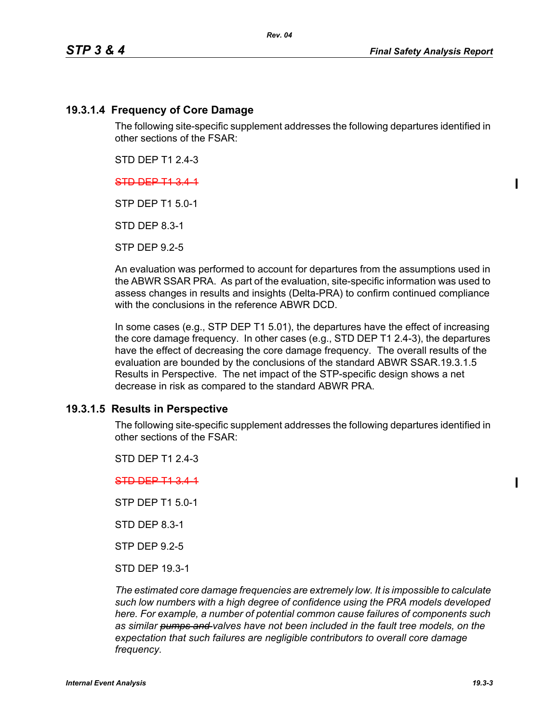### **19.3.1.4 Frequency of Core Damage**

The following site-specific supplement addresses the following departures identified in other sections of the FSAR:

STD DEP T1 2.4-3

### STD DEP T1 3.4-1

STP DEP T1 5.0-1

STD DEP 8.3-1

STP DEP 9.2-5

An evaluation was performed to account for departures from the assumptions used in the ABWR SSAR PRA. As part of the evaluation, site-specific information was used to assess changes in results and insights (Delta-PRA) to confirm continued compliance with the conclusions in the reference ABWR DCD.

In some cases (e.g., STP DEP T1 5.01), the departures have the effect of increasing the core damage frequency. In other cases (e.g., STD DEP T1 2.4-3), the departures have the effect of decreasing the core damage frequency. The overall results of the evaluation are bounded by the conclusions of the standard ABWR SSAR.19.3.1.5 Results in Perspective. The net impact of the STP-specific design shows a net decrease in risk as compared to the standard ABWR PRA.

### **19.3.1.5 Results in Perspective**

The following site-specific supplement addresses the following departures identified in other sections of the FSAR:

STD DEP T1 2.4-3

### STD DEP T1 3.4-1

STP DEP T1 5.0-1

STD DEP 8.3-1

STP DEP 9.2-5

STD DEP 19.3-1

*The estimated core damage frequencies are extremely low. It is impossible to calculate such low numbers with a high degree of confidence using the PRA models developed here. For example, a number of potential common cause failures of components such as similar pumps and valves have not been included in the fault tree models, on the expectation that such failures are negligible contributors to overall core damage frequency.*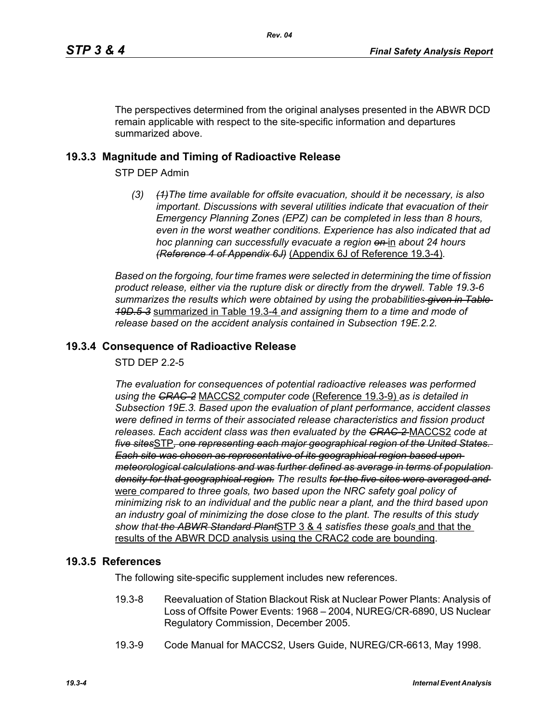The perspectives determined from the original analyses presented in the ABWR DCD remain applicable with respect to the site-specific information and departures summarized above.

## **19.3.3 Magnitude and Timing of Radioactive Release**

STP DEP Admin

*(3) (1)The time available for offsite evacuation, should it be necessary, is also important. Discussions with several utilities indicate that evacuation of their Emergency Planning Zones (EPZ) can be completed in less than 8 hours, even in the worst weather conditions. Experience has also indicated that ad hoc planning can successfully evacuate a region on* in *about 24 hours (Reference 4 of Appendix 6J)* (Appendix 6J of Reference 19.3-4)*.*

*Based on the forgoing, four time frames were selected in determining the time of fission product release, either via the rupture disk or directly from the drywell. Table 19.3-6 summarizes the results which were obtained by using the probabilities given in Table 19D.5-3* summarized in Table 19.3-4 *and assigning them to a time and mode of release based on the accident analysis contained in Subsection 19E.2.2.*

## **19.3.4 Consequence of Radioactive Release**

STD DEP 2.2-5

*The evaluation for consequences of potential radioactive releases was performed using the CRAC-2* MACCS2 *computer code* (Reference 19.3-9) *as is detailed in Subsection 19E.3. Based upon the evaluation of plant performance, accident classes were defined in terms of their associated release characteristics and fission product releases. Each accident class was then evaluated by the CRAC-2* MACCS2 *code at five sites*STP*, one representing each major geographical region of the United States. Each site was chosen as representative of its geographical region based upon meteorological calculations and was further defined as average in terms of population density for that geographical region. The results for the five sites were averaged and*  were *compared to three goals, two based upon the NRC safety goal policy of minimizing risk to an individual and the public near a plant, and the third based upon an industry goal of minimizing the dose close to the plant. The results of this study show that the ABWR Standard Plant*STP 3 & 4 *satisfies these goals* and that the results of the ABWR DCD analysis using the CRAC2 code are bounding.

## **19.3.5 References**

The following site-specific supplement includes new references.

- 19.3-8 Reevaluation of Station Blackout Risk at Nuclear Power Plants: Analysis of Loss of Offsite Power Events: 1968 – 2004, NUREG/CR-6890, US Nuclear Regulatory Commission, December 2005.
- 19.3-9 Code Manual for MACCS2, Users Guide, NUREG/CR-6613, May 1998.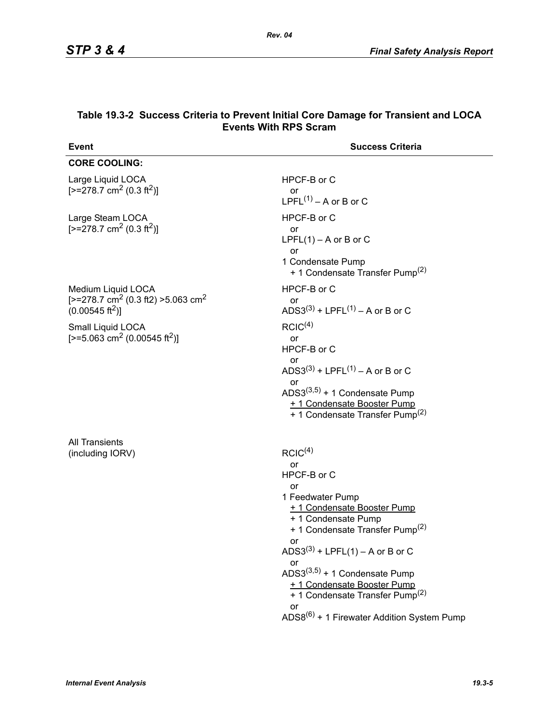| Event                                                                                                               | <b>Success Criteria</b>                                                                                                                                                                                                                                                                                                                                                                                              |
|---------------------------------------------------------------------------------------------------------------------|----------------------------------------------------------------------------------------------------------------------------------------------------------------------------------------------------------------------------------------------------------------------------------------------------------------------------------------------------------------------------------------------------------------------|
| <b>CORE COOLING:</b>                                                                                                |                                                                                                                                                                                                                                                                                                                                                                                                                      |
| Large Liquid LOCA<br>$[-278.7 \text{ cm}^2 (0.3 \text{ ft}^2)]$                                                     | HPCF-B or C<br>or<br>LPFL $(1)$ – A or B or C                                                                                                                                                                                                                                                                                                                                                                        |
| Large Steam LOCA<br>$[-278.7 \text{ cm}^2 (0.3 \text{ ft}^2)]$                                                      | HPCF-B or C<br><b>or</b><br>LPFL $(1)$ – A or B or C<br>or<br>1 Condensate Pump<br>+ 1 Condensate Transfer Pump <sup>(2)</sup>                                                                                                                                                                                                                                                                                       |
| Medium Liquid LOCA<br>[ $>=$ 278.7 cm <sup>2</sup> (0.3 ft2) $>=$ 5.063 cm <sup>2</sup><br>$(0.00545 \text{ ft}^2)$ | HPCF-B or C<br>or<br>ADS3 <sup>(3)</sup> + LPFL <sup>(1)</sup> – A or B or C                                                                                                                                                                                                                                                                                                                                         |
| Small Liquid LOCA<br>[>=5.063 cm <sup>2</sup> (0.00545 ft <sup>2</sup> )]                                           | RCIC <sup>(4)</sup><br>or<br>HPCF-B or C<br>or<br>ADS3 <sup>(3)</sup> + LPFL <sup>(1)</sup> – A or B or C<br>or<br>ADS3 $(3,5)$ + 1 Condensate Pump<br>+ 1 Condensate Booster Pump<br>+ 1 Condensate Transfer Pump <sup>(2)</sup>                                                                                                                                                                                    |
| <b>All Transients</b><br>(including IORV)                                                                           | RCIC <sup>(4)</sup><br>or<br>HPCF-B or C<br>or<br>1 Feedwater Pump<br>+ 1 Condensate Booster Pump<br>+ 1 Condensate Pump<br>+ 1 Condensate Transfer Pump <sup>(2)</sup><br>or<br>ADS3 <sup>(3)</sup> + LPFL(1) – A or B or C<br>or<br>ADS3 $(3,5)$ + 1 Condensate Pump<br>+ 1 Condensate Booster Pump<br>+ 1 Condensate Transfer Pump <sup>(2)</sup><br>or<br>ADS8 <sup>(6)</sup> + 1 Firewater Addition System Pump |

#### **Table 19.3-2 Success Criteria to Prevent Initial Core Damage for Transient and LOCA Events With RPS Scram**